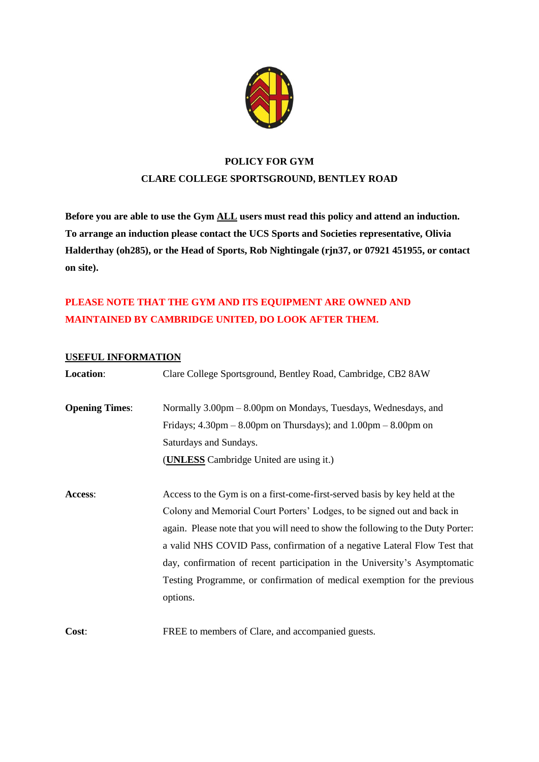

# **POLICY FOR GYM CLARE COLLEGE SPORTSGROUND, BENTLEY ROAD**

**Before you are able to use the Gym ALL users must read this policy and attend an induction. To arrange an induction please contact the UCS Sports and Societies representative, Olivia Halderthay (oh285), or the Head of Sports, Rob Nightingale (rjn37, or 07921 451955, or contact on site).**

# **PLEASE NOTE THAT THE GYM AND ITS EQUIPMENT ARE OWNED AND MAINTAINED BY CAMBRIDGE UNITED, DO LOOK AFTER THEM.**

#### **USEFUL INFORMATION**

| Location:             | Clare College Sportsground, Bentley Road, Cambridge, CB2 8AW                                       |
|-----------------------|----------------------------------------------------------------------------------------------------|
| <b>Opening Times:</b> | Normally 3.00pm – 8.00pm on Mondays, Tuesdays, Wednesdays, and                                     |
|                       | Fridays; $4.30 \text{pm} - 8.00 \text{pm}$ on Thursdays); and $1.00 \text{pm} - 8.00 \text{pm}$ on |
|                       | Saturdays and Sundays.                                                                             |
|                       | (UNLESS Cambridge United are using it.)                                                            |
| Access:               | Access to the Gym is on a first-come-first-served basis by key held at the                         |
|                       | Colony and Memorial Court Porters' Lodges, to be signed out and back in                            |
|                       | again. Please note that you will need to show the following to the Duty Porter:                    |
|                       | a valid NHS COVID Pass, confirmation of a negative Lateral Flow Test that                          |
|                       | day, confirmation of recent participation in the University's Asymptomatic                         |
|                       | Testing Programme, or confirmation of medical exemption for the previous                           |
|                       | options.                                                                                           |
| Cost:                 | FREE to members of Clare, and accompanied guests.                                                  |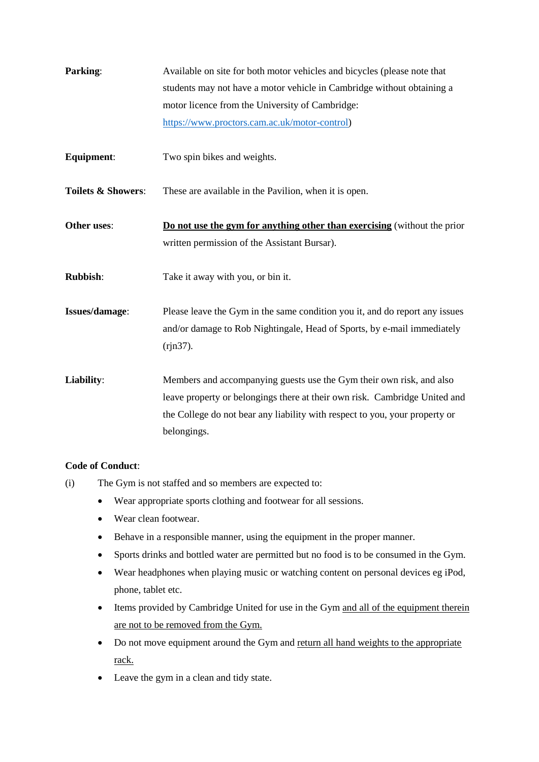| students may not have a motor vehicle in Cambridge without obtaining a<br>motor licence from the University of Cambridge:<br>https://www.proctors.cam.ac.uk/motor-control)<br><b>Equipment:</b><br>Two spin bikes and weights.<br><b>Toilets &amp; Showers:</b><br>These are available in the Pavilion, when it is open. |
|--------------------------------------------------------------------------------------------------------------------------------------------------------------------------------------------------------------------------------------------------------------------------------------------------------------------------|
|                                                                                                                                                                                                                                                                                                                          |
|                                                                                                                                                                                                                                                                                                                          |
|                                                                                                                                                                                                                                                                                                                          |
|                                                                                                                                                                                                                                                                                                                          |
|                                                                                                                                                                                                                                                                                                                          |
| Other uses:<br>Do not use the gym for anything other than exercising (without the prior                                                                                                                                                                                                                                  |
| written permission of the Assistant Bursar).                                                                                                                                                                                                                                                                             |
| <b>Rubbish:</b><br>Take it away with you, or bin it.                                                                                                                                                                                                                                                                     |
| Issues/damage:<br>Please leave the Gym in the same condition you it, and do report any issues                                                                                                                                                                                                                            |
| and/or damage to Rob Nightingale, Head of Sports, by e-mail immediately                                                                                                                                                                                                                                                  |
| $(rjn37)$ .                                                                                                                                                                                                                                                                                                              |
| Liability:<br>Members and accompanying guests use the Gym their own risk, and also                                                                                                                                                                                                                                       |
| leave property or belongings there at their own risk. Cambridge United and                                                                                                                                                                                                                                               |
| the College do not bear any liability with respect to you, your property or                                                                                                                                                                                                                                              |
| belongings.                                                                                                                                                                                                                                                                                                              |

### **Code of Conduct**:

- (i) The Gym is not staffed and so members are expected to:
	- Wear appropriate sports clothing and footwear for all sessions.
	- Wear clean footwear.
	- Behave in a responsible manner, using the equipment in the proper manner.
	- Sports drinks and bottled water are permitted but no food is to be consumed in the Gym.
	- Wear headphones when playing music or watching content on personal devices eg iPod, phone, tablet etc.
	- Items provided by Cambridge United for use in the Gym and all of the equipment therein are not to be removed from the Gym.
	- Do not move equipment around the Gym and return all hand weights to the appropriate rack.
	- Leave the gym in a clean and tidy state.